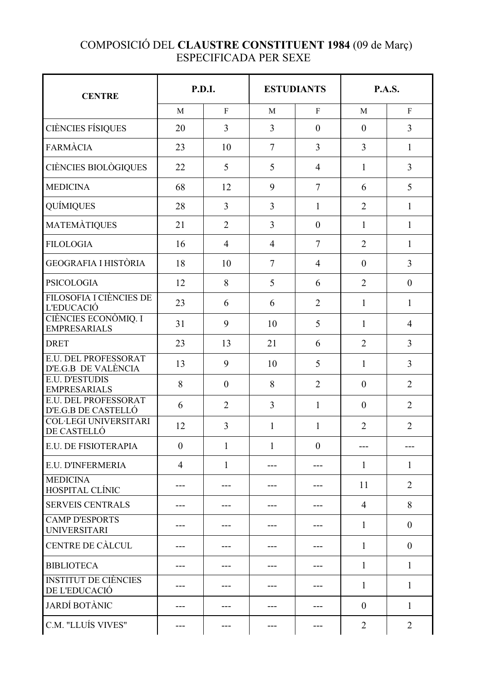## COMPOSICIÓ DEL **CLAUSTRE CONSTITUENT 1984** (09 de Març) ESPECIFICADA PER SEXE

| <b>CENTRE</b>                                      | P.D.I.           |                | <b>ESTUDIANTS</b> |                | <b>P.A.S.</b>  |                  |
|----------------------------------------------------|------------------|----------------|-------------------|----------------|----------------|------------------|
|                                                    | M                | $\mathbf{F}$   | M                 | $\mathbf F$    | $\mathbf{M}$   | $\mathbf F$      |
| <b>CIÈNCIES FÍSIQUES</b>                           | 20               | $\overline{3}$ | $\overline{3}$    | $\mathbf{0}$   | $\theta$       | $\overline{3}$   |
| <b>FARMÀCIA</b>                                    | 23               | 10             | $\overline{7}$    | $\overline{3}$ | 3              | $\mathbf{1}$     |
| CIÈNCIES BIOLÒGIQUES                               | 22               | 5              | 5                 | $\overline{4}$ | $\mathbf{1}$   | 3                |
| <b>MEDICINA</b>                                    | 68               | 12             | 9                 | $\overline{7}$ | 6              | 5                |
| <b>QUÍMIQUES</b>                                   | 28               | $\overline{3}$ | 3                 | $\mathbf{1}$   | $\overline{2}$ | $\mathbf{1}$     |
| <b>MATEMÀTIQUES</b>                                | 21               | $\overline{2}$ | $\overline{3}$    | $\overline{0}$ | 1              | $\mathbf{1}$     |
| <b>FILOLOGIA</b>                                   | 16               | $\overline{4}$ | $\overline{4}$    | $\overline{7}$ | $\overline{2}$ | $\mathbf{1}$     |
| <b>GEOGRAFIA I HISTÒRIA</b>                        | 18               | 10             | $\overline{7}$    | $\overline{4}$ | $\theta$       | $\overline{3}$   |
| <b>PSICOLOGIA</b>                                  | 12               | 8              | 5                 | 6              | $\overline{2}$ | $\mathbf{0}$     |
| FILOSOFIA I CIÈNCIES DE<br><b>L'EDUCACIÓ</b>       | 23               | 6              | 6                 | $\overline{2}$ | $\mathbf{1}$   | $\mathbf{1}$     |
| CIÈNCIES ECONÒMIQ. I<br><b>EMPRESARIALS</b>        | 31               | 9              | 10                | 5              | $\mathbf{1}$   | $\overline{4}$   |
| <b>DRET</b>                                        | 23               | 13             | 21                | 6              | $\overline{2}$ | $\overline{3}$   |
| <b>E.U. DEL PROFESSORAT</b><br>D'E.G.B DE VALÈNCIA | 13               | 9              | 10                | 5              | $\mathbf{1}$   | 3                |
| <b>E.U. D'ESTUDIS</b><br><b>EMPRESARIALS</b>       | 8                | $\overline{0}$ | 8                 | $\overline{2}$ | $\mathbf{0}$   | $\overline{2}$   |
| E.U. DEL PROFESSORAT<br>D'E.G.B DE CASTELLÓ        | 6                | $\overline{2}$ | $\overline{3}$    | $\mathbf{1}$   | $\theta$       | $\overline{2}$   |
| <b>COL·LEGI UNIVERSITARI</b><br>DE CASTELLÓ        | 12               | 3              | 1                 | 1              | $\overline{2}$ | $\overline{2}$   |
| E.U. DE FISIOTERAPIA                               | $\boldsymbol{0}$ | 1              | 1                 | $\theta$       |                | ---              |
| E.U. D'INFERMERIA                                  | 4                | 1              |                   | ---            | 1              | 1                |
| <b>MEDICINA</b><br>HOSPITAL CLÍNIC                 | ---              |                |                   |                | 11             | $\overline{2}$   |
| <b>SERVEIS CENTRALS</b>                            | ---              |                |                   |                | $\overline{4}$ | 8                |
| <b>CAMP D'ESPORTS</b><br><b>UNIVERSITARI</b>       | ---              |                |                   | ---            | 1              | $\boldsymbol{0}$ |
| CENTRE DE CÀLCUL                                   | ---              | ---            | ---               | ---            | $\mathbf{1}$   | $\boldsymbol{0}$ |
| <b>BIBLIOTECA</b>                                  | ---              | ---            |                   | ---            | $\mathbf{1}$   | $\mathbf{1}$     |
| <b>INSTITUT DE CIÈNCIES</b><br>DE L'EDUCACIÓ       | ---              | ---            |                   | ---            | 1              | $\mathbf{1}$     |
| <b>JARDÍ BOTÀNIC</b>                               | ---              | ---            |                   | ---            | $\mathbf{0}$   | 1                |
| C.M. "LLUÍS VIVES"                                 | ---              | ---            | ---               | ---            | $\overline{2}$ | $\overline{2}$   |